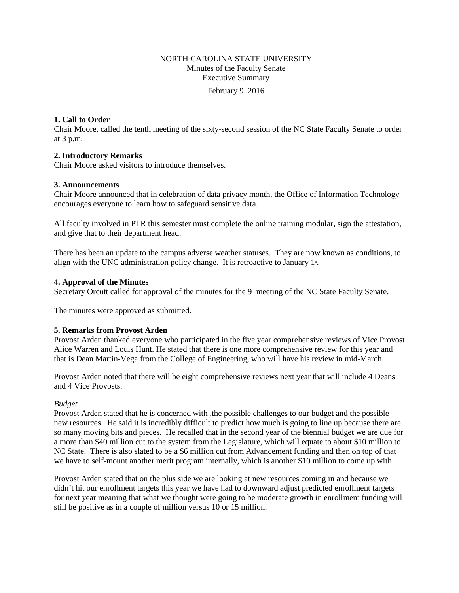## NORTH CAROLINA STATE UNIVERSITY Minutes of the Faculty Senate Executive Summary

February 9, 2016

## **1. Call to Order**

Chair Moore, called the tenth meeting of the sixty-second session of the NC State Faculty Senate to order at 3 p.m.

## **2. Introductory Remarks**

Chair Moore asked visitors to introduce themselves.

## **3. Announcements**

Chair Moore announced that in celebration of data privacy month, the Office of Information Technology encourages everyone to learn how to safeguard sensitive data.

All faculty involved in PTR this semester must complete the online training modular, sign the attestation, and give that to their department head.

There has been an update to the campus adverse weather statuses. They are now known as conditions, to align with the UNC administration policy change. It is retroactive to January  $1<sup>*</sup>$ .

# **4. Approval of the Minutes**

Secretary Orcutt called for approval of the minutes for the 9<sup>th</sup> meeting of the NC State Faculty Senate.

The minutes were approved as submitted.

## **5. Remarks from Provost Arden**

Provost Arden thanked everyone who participated in the five year comprehensive reviews of Vice Provost Alice Warren and Louis Hunt. He stated that there is one more comprehensive review for this year and that is Dean Martin-Vega from the College of Engineering, who will have his review in mid-March.

Provost Arden noted that there will be eight comprehensive reviews next year that will include 4 Deans and 4 Vice Provosts.

## *Budget*

Provost Arden stated that he is concerned with .the possible challenges to our budget and the possible new resources. He said it is incredibly difficult to predict how much is going to line up because there are so many moving bits and pieces. He recalled that in the second year of the biennial budget we are due for a more than \$40 million cut to the system from the Legislature, which will equate to about \$10 million to NC State. There is also slated to be a \$6 million cut from Advancement funding and then on top of that we have to self-mount another merit program internally, which is another \$10 million to come up with.

Provost Arden stated that on the plus side we are looking at new resources coming in and because we didn't hit our enrollment targets this year we have had to downward adjust predicted enrollment targets for next year meaning that what we thought were going to be moderate growth in enrollment funding will still be positive as in a couple of million versus 10 or 15 million.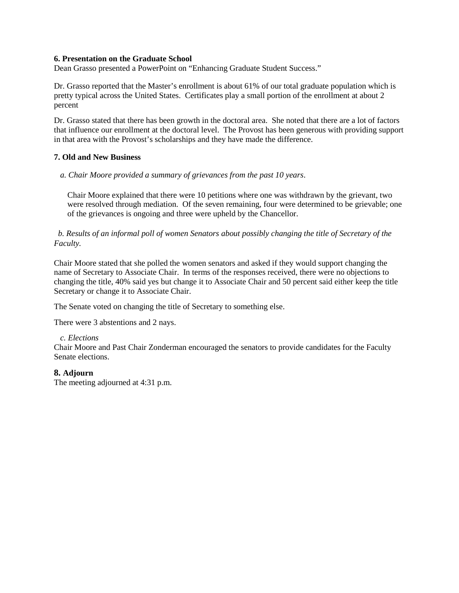### **6. Presentation on the Graduate School**

Dean Grasso presented a PowerPoint on "Enhancing Graduate Student Success."

Dr. Grasso reported that the Master's enrollment is about 61% of our total graduate population which is pretty typical across the United States. Certificates play a small portion of the enrollment at about 2 percent

Dr. Grasso stated that there has been growth in the doctoral area. She noted that there are a lot of factors that influence our enrollment at the doctoral level. The Provost has been generous with providing support in that area with the Provost's scholarships and they have made the difference.

### **7. Old and New Business**

 *a. Chair Moore provided a summary of grievances from the past 10 years*.

Chair Moore explained that there were 10 petitions where one was withdrawn by the grievant, two were resolved through mediation. Of the seven remaining, four were determined to be grievable; one of the grievances is ongoing and three were upheld by the Chancellor.

 *b. Results of an informal poll of women Senators about possibly changing the title of Secretary of the Faculty.* 

Chair Moore stated that she polled the women senators and asked if they would support changing the name of Secretary to Associate Chair. In terms of the responses received, there were no objections to changing the title, 40% said yes but change it to Associate Chair and 50 percent said either keep the title Secretary or change it to Associate Chair.

The Senate voted on changing the title of Secretary to something else.

There were 3 abstentions and 2 nays.

#### *c. Elections*

Chair Moore and Past Chair Zonderman encouraged the senators to provide candidates for the Faculty Senate elections.

## **8. Adjourn**

The meeting adjourned at 4:31 p.m.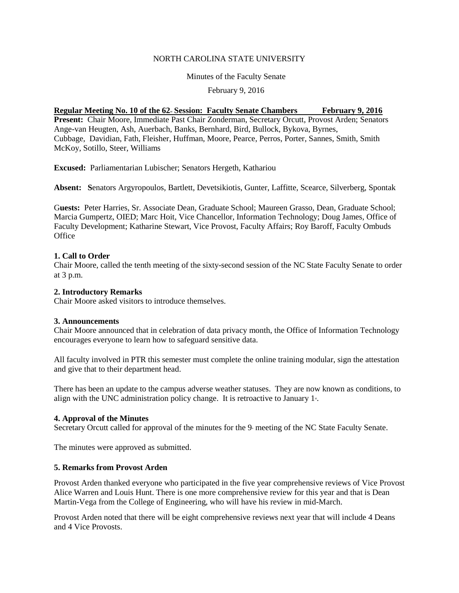### NORTH CAROLINA STATE UNIVERSITY

#### Minutes of the Faculty Senate

February 9, 2016

## **<u>Regular Meeting No. 10 of the 62-Session: Faculty Senate Chambers February 9, 2016</u>**

**Present:** Chair Moore, Immediate Past Chair Zonderman, Secretary Orcutt, Provost Arden; Senators Ange-van Heugten, Ash, Auerbach, Banks, Bernhard, Bird, Bullock, Bykova, Byrnes, Cubbage, Davidian, Fath, Fleisher, Huffman, Moore, Pearce, Perros, Porter, Sannes, Smith, Smith McKoy, Sotillo, Steer, Williams

**Excused:** Parliamentarian Lubischer; Senators Hergeth, Kathariou

**Absent: S**enators Argyropoulos, Bartlett, Devetsikiotis, Gunter, Laffitte, Scearce, Silverberg, Spontak

G**uests:** Peter Harries, Sr. Associate Dean, Graduate School; Maureen Grasso, Dean, Graduate School; Marcia Gumpertz, OIED; Marc Hoit, Vice Chancellor, Information Technology; Doug James, Office of Faculty Development; Katharine Stewart, Vice Provost, Faculty Affairs; Roy Baroff, Faculty Ombuds **Office** 

### **1. Call to Order**

Chair Moore, called the tenth meeting of the sixty-second session of the NC State Faculty Senate to order at 3 p.m.

### **2. Introductory Remarks**

Chair Moore asked visitors to introduce themselves.

#### **3. Announcements**

Chair Moore announced that in celebration of data privacy month, the Office of Information Technology encourages everyone to learn how to safeguard sensitive data.

All faculty involved in PTR this semester must complete the online training modular, sign the attestation and give that to their department head.

There has been an update to the campus adverse weather statuses. They are now known as conditions, to align with the UNC administration policy change. It is retroactive to January  $1<sup>*</sup>$ .

## **4. Approval of the Minutes**

Secretary Orcutt called for approval of the minutes for the 9<sup>th</sup> meeting of the NC State Faculty Senate.

The minutes were approved as submitted.

#### **5. Remarks from Provost Arden**

Provost Arden thanked everyone who participated in the five year comprehensive reviews of Vice Provost Alice Warren and Louis Hunt. There is one more comprehensive review for this year and that is Dean Martin-Vega from the College of Engineering, who will have his review in mid-March.

Provost Arden noted that there will be eight comprehensive reviews next year that will include 4 Deans and 4 Vice Provosts.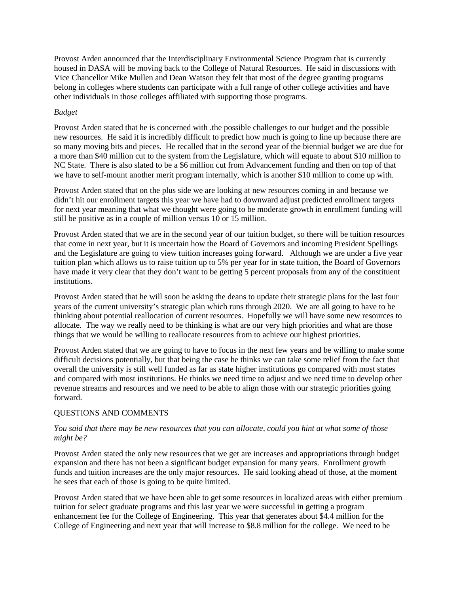Provost Arden announced that the Interdisciplinary Environmental Science Program that is currently housed in DASA will be moving back to the College of Natural Resources. He said in discussions with Vice Chancellor Mike Mullen and Dean Watson they felt that most of the degree granting programs belong in colleges where students can participate with a full range of other college activities and have other individuals in those colleges affiliated with supporting those programs.

## *Budget*

Provost Arden stated that he is concerned with .the possible challenges to our budget and the possible new resources. He said it is incredibly difficult to predict how much is going to line up because there are so many moving bits and pieces. He recalled that in the second year of the biennial budget we are due for a more than \$40 million cut to the system from the Legislature, which will equate to about \$10 million to NC State. There is also slated to be a \$6 million cut from Advancement funding and then on top of that we have to self-mount another merit program internally, which is another \$10 million to come up with.

Provost Arden stated that on the plus side we are looking at new resources coming in and because we didn't hit our enrollment targets this year we have had to downward adjust predicted enrollment targets for next year meaning that what we thought were going to be moderate growth in enrollment funding will still be positive as in a couple of million versus 10 or 15 million.

Provost Arden stated that we are in the second year of our tuition budget, so there will be tuition resources that come in next year, but it is uncertain how the Board of Governors and incoming President Spellings and the Legislature are going to view tuition increases going forward. Although we are under a five year tuition plan which allows us to raise tuition up to 5% per year for in state tuition, the Board of Governors have made it very clear that they don't want to be getting 5 percent proposals from any of the constituent institutions.

Provost Arden stated that he will soon be asking the deans to update their strategic plans for the last four years of the current university's strategic plan which runs through 2020. We are all going to have to be thinking about potential reallocation of current resources. Hopefully we will have some new resources to allocate. The way we really need to be thinking is what are our very high priorities and what are those things that we would be willing to reallocate resources from to achieve our highest priorities.

Provost Arden stated that we are going to have to focus in the next few years and be willing to make some difficult decisions potentially, but that being the case he thinks we can take some relief from the fact that overall the university is still well funded as far as state higher institutions go compared with most states and compared with most institutions. He thinks we need time to adjust and we need time to develop other revenue streams and resources and we need to be able to align those with our strategic priorities going forward.

## QUESTIONS AND COMMENTS

## *You said that there may be new resources that you can allocate, could you hint at what some of those might be?*

Provost Arden stated the only new resources that we get are increases and appropriations through budget expansion and there has not been a significant budget expansion for many years. Enrollment growth funds and tuition increases are the only major resources. He said looking ahead of those, at the moment he sees that each of those is going to be quite limited.

Provost Arden stated that we have been able to get some resources in localized areas with either premium tuition for select graduate programs and this last year we were successful in getting a program enhancement fee for the College of Engineering. This year that generates about \$4.4 million for the College of Engineering and next year that will increase to \$8.8 million for the college. We need to be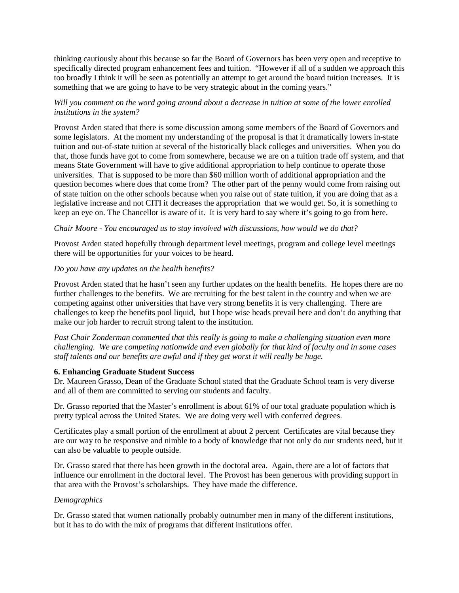thinking cautiously about this because so far the Board of Governors has been very open and receptive to specifically directed program enhancement fees and tuition. "However if all of a sudden we approach this too broadly I think it will be seen as potentially an attempt to get around the board tuition increases. It is something that we are going to have to be very strategic about in the coming years."

# *Will you comment on the word going around about a decrease in tuition at some of the lower enrolled institutions in the system?*

Provost Arden stated that there is some discussion among some members of the Board of Governors and some legislators. At the moment my understanding of the proposal is that it dramatically lowers in-state tuition and out-of-state tuition at several of the historically black colleges and universities. When you do that, those funds have got to come from somewhere, because we are on a tuition trade off system, and that means State Government will have to give additional appropriation to help continue to operate those universities. That is supposed to be more than \$60 million worth of additional appropriation and the question becomes where does that come from? The other part of the penny would come from raising out of state tuition on the other schools because when you raise out of state tuition, if you are doing that as a legislative increase and not CITI it decreases the appropriation that we would get. So, it is something to keep an eye on. The Chancellor is aware of it. It is very hard to say where it's going to go from here.

# *Chair Moore - You encouraged us to stay involved with discussions, how would we do that?*

Provost Arden stated hopefully through department level meetings, program and college level meetings there will be opportunities for your voices to be heard.

## *Do you have any updates on the health benefits?*

Provost Arden stated that he hasn't seen any further updates on the health benefits. He hopes there are no further challenges to the benefits. We are recruiting for the best talent in the country and when we are competing against other universities that have very strong benefits it is very challenging. There are challenges to keep the benefits pool liquid, but I hope wise heads prevail here and don't do anything that make our job harder to recruit strong talent to the institution.

*Past Chair Zonderman commented that this really is going to make a challenging situation even more challenging. We are competing nationwide and even globally for that kind of faculty and in some cases staff talents and our benefits are awful and if they get worst it will really be huge.* 

## **6. Enhancing Graduate Student Success**

Dr. Maureen Grasso, Dean of the Graduate School stated that the Graduate School team is very diverse and all of them are committed to serving our students and faculty.

Dr. Grasso reported that the Master's enrollment is about 61% of our total graduate population which is pretty typical across the United States. We are doing very well with conferred degrees.

Certificates play a small portion of the enrollment at about 2 percent Certificates are vital because they are our way to be responsive and nimble to a body of knowledge that not only do our students need, but it can also be valuable to people outside.

Dr. Grasso stated that there has been growth in the doctoral area. Again, there are a lot of factors that influence our enrollment in the doctoral level. The Provost has been generous with providing support in that area with the Provost's scholarships. They have made the difference.

#### *Demographics*

Dr. Grasso stated that women nationally probably outnumber men in many of the different institutions, but it has to do with the mix of programs that different institutions offer.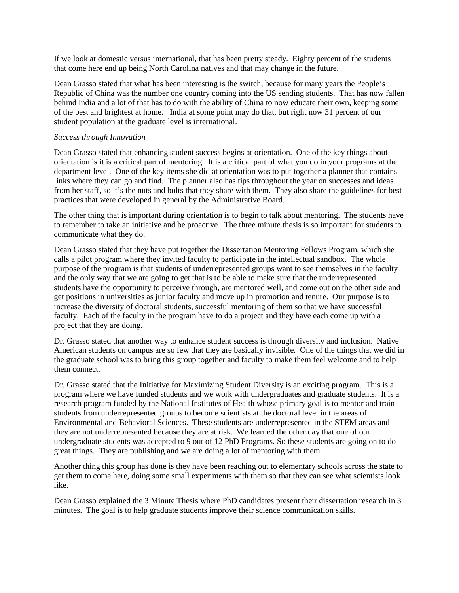If we look at domestic versus international, that has been pretty steady. Eighty percent of the students that come here end up being North Carolina natives and that may change in the future.

Dean Grasso stated that what has been interesting is the switch, because for many years the People's Republic of China was the number one country coming into the US sending students. That has now fallen behind India and a lot of that has to do with the ability of China to now educate their own, keeping some of the best and brightest at home. India at some point may do that, but right now 31 percent of our student population at the graduate level is international.

### *Success through Innovation*

Dean Grasso stated that enhancing student success begins at orientation. One of the key things about orientation is it is a critical part of mentoring. It is a critical part of what you do in your programs at the department level. One of the key items she did at orientation was to put together a planner that contains links where they can go and find. The planner also has tips throughout the year on successes and ideas from her staff, so it's the nuts and bolts that they share with them. They also share the guidelines for best practices that were developed in general by the Administrative Board.

The other thing that is important during orientation is to begin to talk about mentoring. The students have to remember to take an initiative and be proactive. The three minute thesis is so important for students to communicate what they do.

Dean Grasso stated that they have put together the Dissertation Mentoring Fellows Program, which she calls a pilot program where they invited faculty to participate in the intellectual sandbox. The whole purpose of the program is that students of underrepresented groups want to see themselves in the faculty and the only way that we are going to get that is to be able to make sure that the underrepresented students have the opportunity to perceive through, are mentored well, and come out on the other side and get positions in universities as junior faculty and move up in promotion and tenure. Our purpose is to increase the diversity of doctoral students, successful mentoring of them so that we have successful faculty. Each of the faculty in the program have to do a project and they have each come up with a project that they are doing.

Dr. Grasso stated that another way to enhance student success is through diversity and inclusion. Native American students on campus are so few that they are basically invisible. One of the things that we did in the graduate school was to bring this group together and faculty to make them feel welcome and to help them connect.

Dr. Grasso stated that the Initiative for Maximizing Student Diversity is an exciting program. This is a program where we have funded students and we work with undergraduates and graduate students. It is a research program funded by the National Institutes of Health whose primary goal is to mentor and train students from underrepresented groups to become scientists at the doctoral level in the areas of Environmental and Behavioral Sciences. These students are underrepresented in the STEM areas and they are not underrepresented because they are at risk. We learned the other day that one of our undergraduate students was accepted to 9 out of 12 PhD Programs. So these students are going on to do great things. They are publishing and we are doing a lot of mentoring with them.

Another thing this group has done is they have been reaching out to elementary schools across the state to get them to come here, doing some small experiments with them so that they can see what scientists look like.

Dean Grasso explained the 3 Minute Thesis where PhD candidates present their dissertation research in 3 minutes. The goal is to help graduate students improve their science communication skills.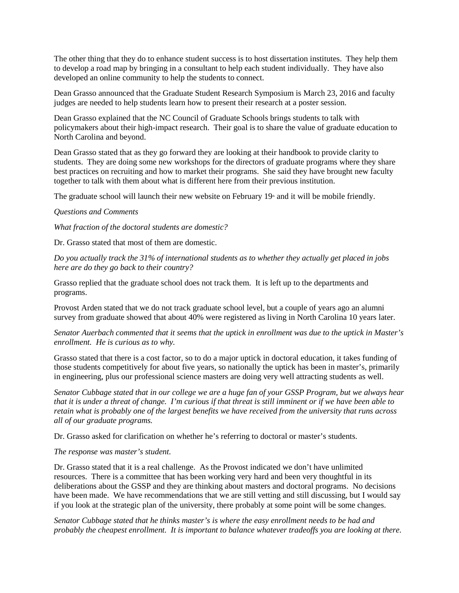The other thing that they do to enhance student success is to host dissertation institutes. They help them to develop a road map by bringing in a consultant to help each student individually. They have also developed an online community to help the students to connect.

Dean Grasso announced that the Graduate Student Research Symposium is March 23, 2016 and faculty judges are needed to help students learn how to present their research at a poster session.

Dean Grasso explained that the NC Council of Graduate Schools brings students to talk with policymakers about their high-impact research. Their goal is to share the value of graduate education to North Carolina and beyond.

Dean Grasso stated that as they go forward they are looking at their handbook to provide clarity to students. They are doing some new workshops for the directors of graduate programs where they share best practices on recruiting and how to market their programs. She said they have brought new faculty together to talk with them about what is different here from their previous institution.

The graduate school will launch their new website on February  $19<sup>th</sup>$  and it will be mobile friendly.

### *Questions and Comments*

*What fraction of the doctoral students are domestic?* 

Dr. Grasso stated that most of them are domestic.

*Do you actually track the 31% of international students as to whether they actually get placed in jobs here are do they go back to their country?*

Grasso replied that the graduate school does not track them. It is left up to the departments and programs.

Provost Arden stated that we do not track graduate school level, but a couple of years ago an alumni survey from graduate showed that about 40% were registered as living in North Carolina 10 years later.

*Senator Auerbach commented that it seems that the uptick in enrollment was due to the uptick in Master's enrollment. He is curious as to why.* 

Grasso stated that there is a cost factor, so to do a major uptick in doctoral education, it takes funding of those students competitively for about five years, so nationally the uptick has been in master's, primarily in engineering, plus our professional science masters are doing very well attracting students as well.

*Senator Cubbage stated that in our college we are a huge fan of your GSSP Program, but we always hear that it is under a threat of change. I'm curious if that threat is still imminent or if we have been able to retain what is probably one of the largest benefits we have received from the university that runs across all of our graduate programs.*

Dr. Grasso asked for clarification on whether he's referring to doctoral or master's students.

#### *The response was master's student.*

Dr. Grasso stated that it is a real challenge. As the Provost indicated we don't have unlimited resources. There is a committee that has been working very hard and been very thoughtful in its deliberations about the GSSP and they are thinking about masters and doctoral programs. No decisions have been made. We have recommendations that we are still vetting and still discussing, but I would say if you look at the strategic plan of the university, there probably at some point will be some changes.

*Senator Cubbage stated that he thinks master's is where the easy enrollment needs to be had and probably the cheapest enrollment. It is important to balance whatever tradeoffs you are looking at there.*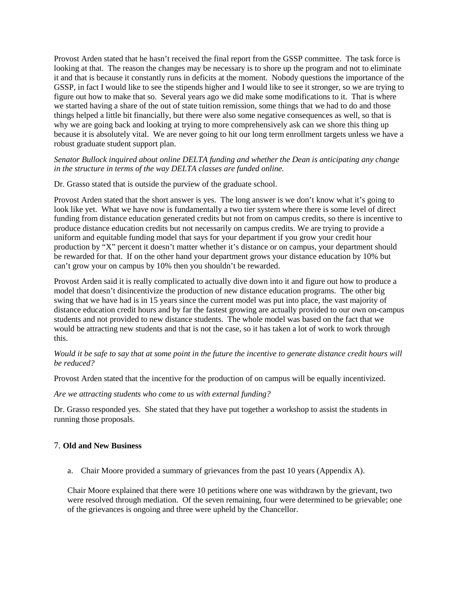Provost Arden stated that he hasn't received the final report from the GSSP committee. The task force is looking at that. The reason the changes may be necessary is to shore up the program and not to eliminate it and that is because it constantly runs in deficits at the moment. Nobody questions the importance of the GSSP, in fact I would like to see the stipends higher and I would like to see it stronger, so we are trying to figure out how to make that so. Several years ago we did make some modifications to it. That is where we started having a share of the out of state tuition remission, some things that we had to do and those things helped a little bit financially, but there were also some negative consequences as well, so that is why we are going back and looking at trying to more comprehensively ask can we shore this thing up because it is absolutely vital. We are never going to hit our long term enrollment targets unless we have a robust graduate student support plan.

### *Senator Bullock inquired about online DELTA funding and whether the Dean is anticipating any change in the structure in terms of the way DELTA classes are funded online.*

Dr. Grasso stated that is outside the purview of the graduate school.

Provost Arden stated that the short answer is yes. The long answer is we don't know what it's going to look like yet. What we have now is fundamentally a two tier system where there is some level of direct funding from distance education generated credits but not from on campus credits, so there is incentive to produce distance education credits but not necessarily on campus credits. We are trying to provide a uniform and equitable funding model that says for your department if you grow your credit hour production by "X" percent it doesn't matter whether it's distance or on campus, your department should be rewarded for that. If on the other hand your department grows your distance education by 10% but can't grow your on campus by 10% then you shouldn't be rewarded.

Provost Arden said it is really complicated to actually dive down into it and figure out how to produce a model that doesn't disincentivize the production of new distance education programs. The other big swing that we have had is in 15 years since the current model was put into place, the vast majority of distance education credit hours and by far the fastest growing are actually provided to our own on-campus students and not provided to new distance students. The whole model was based on the fact that we would be attracting new students and that is not the case, so it has taken a lot of work to work through this.

## *Would it be safe to say that at some point in the future the incentive to generate distance credit hours will be reduced?*

Provost Arden stated that the incentive for the production of on campus will be equally incentivized.

*Are we attracting students who come to us with external funding?* 

Dr. Grasso responded yes. She stated that they have put together a workshop to assist the students in running those proposals.

## 7. **Old and New Business**

a. Chair Moore provided a summary of grievances from the past 10 years (Appendix A).

Chair Moore explained that there were 10 petitions where one was withdrawn by the grievant, two were resolved through mediation. Of the seven remaining, four were determined to be grievable; one of the grievances is ongoing and three were upheld by the Chancellor.